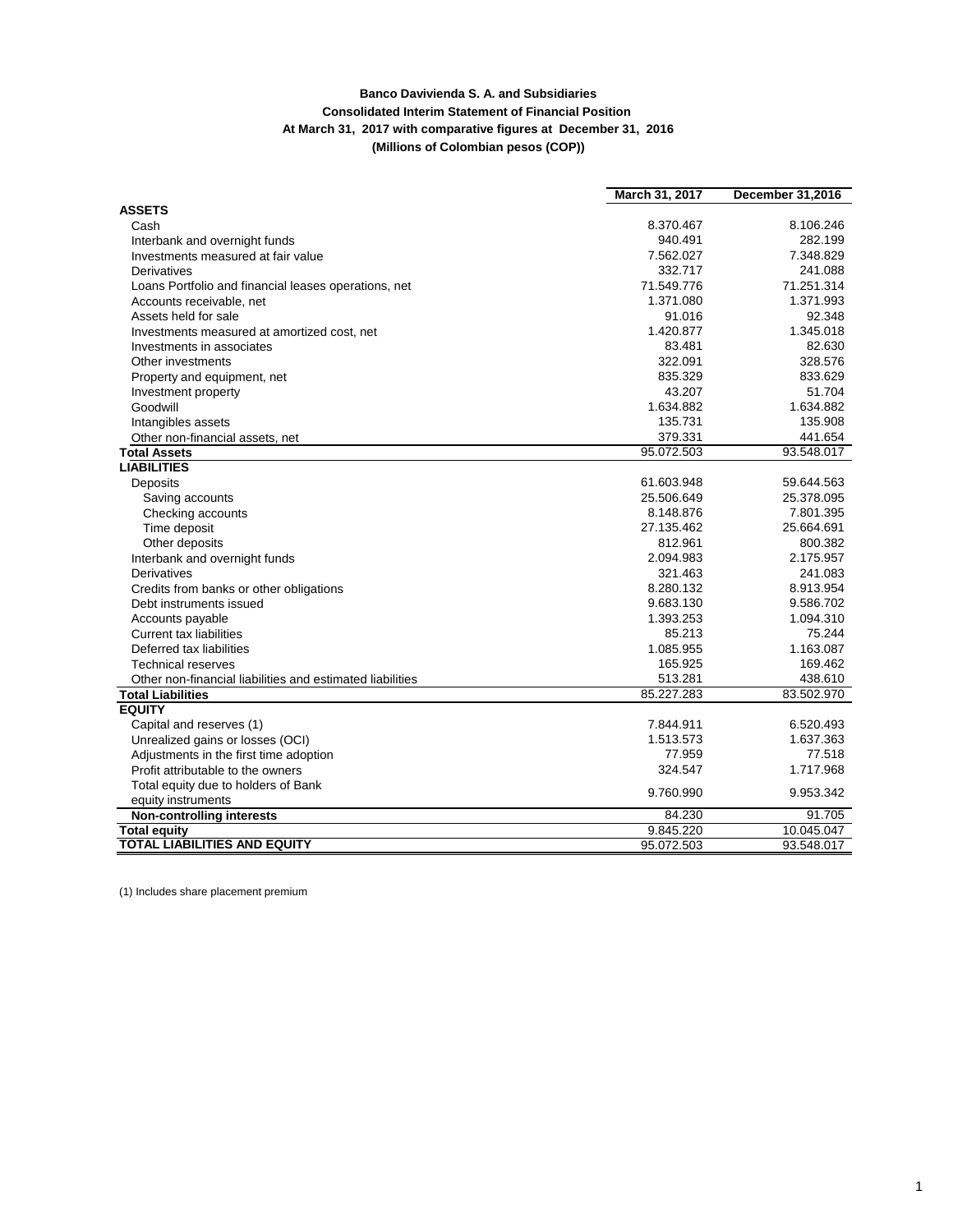## **Banco Davivienda S. A. and Subsidiaries Consolidated Interim Statement of Financial Position At March 31, 2017 with comparative figures at December 31, 2016 (Millions of Colombian pesos (COP))**

|                                                           | March 31, 2017 | <b>December 31,2016</b> |
|-----------------------------------------------------------|----------------|-------------------------|
| <b>ASSETS</b>                                             |                |                         |
| Cash                                                      | 8.370.467      | 8.106.246               |
| Interbank and overnight funds                             | 940.491        | 282.199                 |
| Investments measured at fair value                        | 7.562.027      | 7.348.829               |
| Derivatives                                               | 332.717        | 241.088                 |
| Loans Portfolio and financial leases operations, net      | 71.549.776     | 71.251.314              |
| Accounts receivable, net                                  | 1.371.080      | 1.371.993               |
| Assets held for sale                                      | 91.016         | 92.348                  |
| Investments measured at amortized cost, net               | 1.420.877      | 1.345.018               |
| Investments in associates                                 | 83.481         | 82.630                  |
| Other investments                                         | 322.091        | 328.576                 |
| Property and equipment, net                               | 835.329        | 833.629                 |
| Investment property                                       | 43.207         | 51.704                  |
| Goodwill                                                  | 1.634.882      | 1.634.882               |
| Intangibles assets                                        | 135.731        | 135.908                 |
| Other non-financial assets, net                           | 379.331        | 441.654                 |
| <b>Total Assets</b>                                       | 95.072.503     | 93.548.017              |
| <b>LIABILITIES</b>                                        |                |                         |
| Deposits                                                  | 61.603.948     | 59.644.563              |
| Saving accounts                                           | 25.506.649     | 25.378.095              |
| Checking accounts                                         | 8.148.876      | 7.801.395               |
| Time deposit                                              | 27.135.462     | 25.664.691              |
| Other deposits                                            | 812.961        | 800.382                 |
| Interbank and overnight funds                             | 2.094.983      | 2.175.957               |
| <b>Derivatives</b>                                        | 321.463        | 241.083                 |
| Credits from banks or other obligations                   | 8.280.132      | 8.913.954               |
| Debt instruments issued                                   | 9.683.130      | 9.586.702               |
| Accounts payable                                          | 1.393.253      | 1.094.310               |
| <b>Current tax liabilities</b>                            | 85.213         | 75.244                  |
| Deferred tax liabilities                                  | 1.085.955      | 1.163.087               |
| Technical reserves                                        | 165.925        | 169.462                 |
| Other non-financial liabilities and estimated liabilities | 513.281        | 438.610                 |
| <b>Total Liabilities</b>                                  | 85.227.283     | 83.502.970              |
| <b>EQUITY</b>                                             |                |                         |
| Capital and reserves (1)                                  | 7.844.911      | 6.520.493               |
| Unrealized gains or losses (OCI)                          | 1.513.573      | 1.637.363               |
| Adjustments in the first time adoption                    | 77.959         | 77.518                  |
| Profit attributable to the owners                         | 324.547        | 1.717.968               |
| Total equity due to holders of Bank                       | 9.760.990      | 9.953.342               |
| equity instruments                                        |                |                         |
| <b>Non-controlling interests</b>                          | 84.230         | 91.705                  |
| <b>Total equity</b>                                       | 9.845.220      | 10.045.047              |
| <b>TOTAL LIABILITIES AND EQUITY</b>                       | 95.072.503     | 93.548.017              |

(1) Includes share placement premium